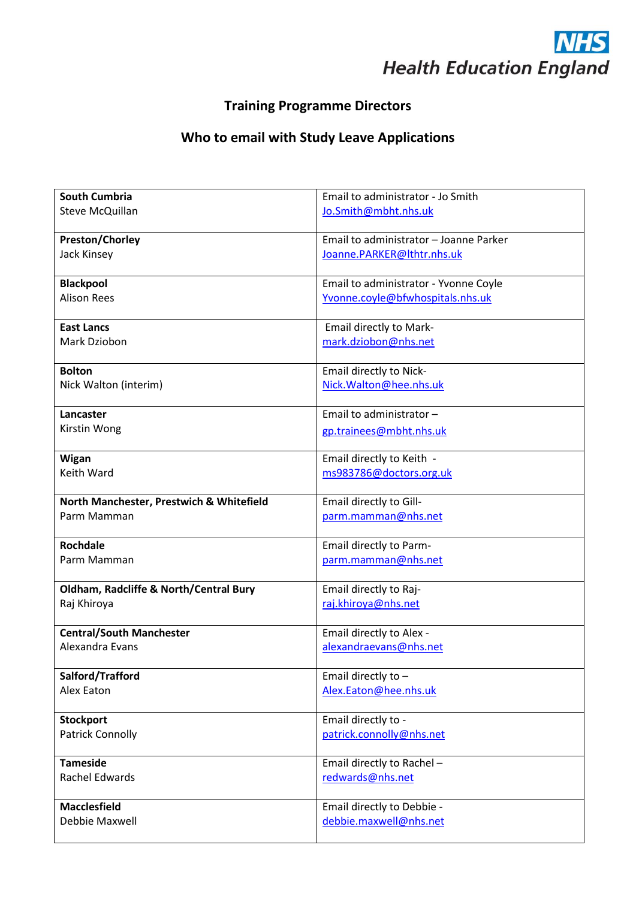

## **Training Programme Directors**

## **Who to email with Study Leave Applications**

| <b>South Cumbria</b>                     | Email to administrator - Jo Smith                      |
|------------------------------------------|--------------------------------------------------------|
| <b>Steve McQuillan</b>                   | Jo.Smith@mbht.nhs.uk                                   |
|                                          |                                                        |
| Preston/Chorley                          | Email to administrator - Joanne Parker                 |
| Jack Kinsey                              | Joanne.PARKER@lthtr.nhs.uk                             |
|                                          |                                                        |
| <b>Blackpool</b>                         | Email to administrator - Yvonne Coyle                  |
| <b>Alison Rees</b>                       | Yvonne.coyle@bfwhospitals.nhs.uk                       |
| <b>East Lancs</b>                        |                                                        |
| Mark Dziobon                             | <b>Email directly to Mark-</b><br>mark.dziobon@nhs.net |
|                                          |                                                        |
| <b>Bolton</b>                            | Email directly to Nick-                                |
| Nick Walton (interim)                    | Nick.Walton@hee.nhs.uk                                 |
|                                          |                                                        |
| Lancaster                                | Email to administrator -                               |
| Kirstin Wong                             | gp.trainees@mbht.nhs.uk                                |
|                                          |                                                        |
| Wigan                                    | Email directly to Keith -                              |
| Keith Ward                               | ms983786@doctors.org.uk                                |
|                                          |                                                        |
| North Manchester, Prestwich & Whitefield | Email directly to Gill-                                |
| Parm Mamman                              | parm.mamman@nhs.net                                    |
| <b>Rochdale</b>                          |                                                        |
| Parm Mamman                              | Email directly to Parm-<br>parm.mamman@nhs.net         |
|                                          |                                                        |
| Oldham, Radcliffe & North/Central Bury   | Email directly to Raj-                                 |
| Raj Khiroya                              | raj.khiroya@nhs.net                                    |
|                                          |                                                        |
| <b>Central/South Manchester</b>          | Email directly to Alex -                               |
| Alexandra Evans                          | alexandraevans@nhs.net                                 |
|                                          |                                                        |
| Salford/Trafford                         | Email directly to -                                    |
| Alex Eaton                               | Alex.Eaton@hee.nhs.uk                                  |
|                                          |                                                        |
| <b>Stockport</b>                         | Email directly to -                                    |
| <b>Patrick Connolly</b>                  | patrick.connolly@nhs.net                               |
| <b>Tameside</b>                          |                                                        |
| <b>Rachel Edwards</b>                    | Email directly to Rachel -<br>redwards@nhs.net         |
|                                          |                                                        |
| <b>Macclesfield</b>                      | Email directly to Debbie -                             |
| Debbie Maxwell                           | debbie.maxwell@nhs.net                                 |
|                                          |                                                        |